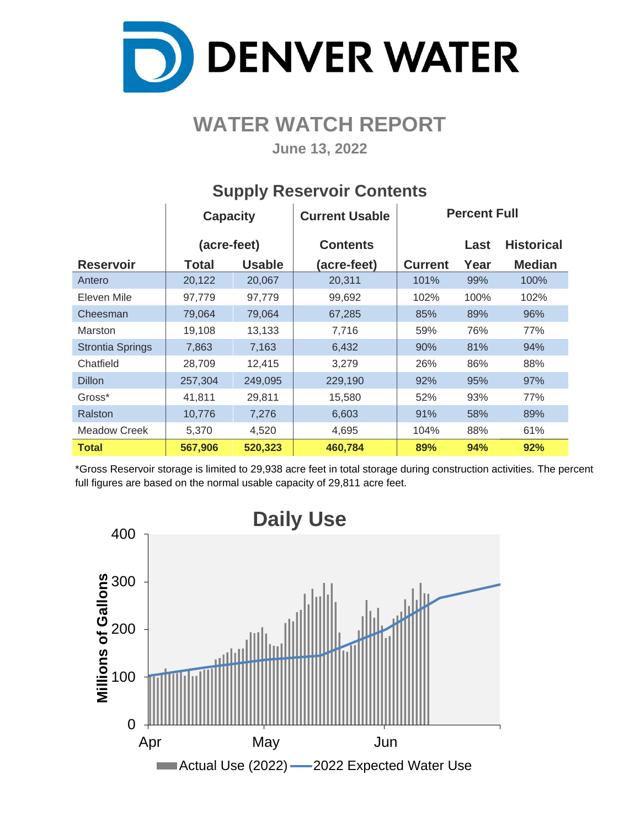

# **WATER WATCH REPORT**

**June 13, 2022**

|                         | <b>Capacity</b> |               | <b>Current Usable</b> |                | <b>Percent Full</b> |                   |
|-------------------------|-----------------|---------------|-----------------------|----------------|---------------------|-------------------|
|                         | (acre-feet)     |               | <b>Contents</b>       |                | Last                | <b>Historical</b> |
| <b>Reservoir</b>        | Total           | <b>Usable</b> | (acre-feet)           | <b>Current</b> | Year                | <b>Median</b>     |
| Antero                  | 20,122          | 20,067        | 20,311                | 101%           | 99%                 | 100%              |
| Eleven Mile             | 97,779          | 97,779        | 99,692                | 102%           | 100%                | 102%              |
| Cheesman                | 79,064          | 79,064        | 67,285                | 85%            | 89%                 | 96%               |
| <b>Marston</b>          | 19,108          | 13,133        | 7,716                 | 59%            | 76%                 | 77%               |
| <b>Strontia Springs</b> | 7,863           | 7,163         | 6,432                 | 90%            | 81%                 | 94%               |
| Chatfield               | 28,709          | 12,415        | 3,279                 | 26%            | 86%                 | 88%               |
| <b>Dillon</b>           | 257,304         | 249,095       | 229,190               | 92%            | 95%                 | 97%               |
| Gross*                  | 41,811          | 29,811        | 15,580                | 52%            | 93%                 | 77%               |
| Ralston                 | 10,776          | 7,276         | 6,603                 | 91%            | 58%                 | 89%               |
| Meadow Creek            | 5,370           | 4,520         | 4,695                 | 104%           | 88%                 | 61%               |
| <b>Total</b>            | 567,906         | 520,323       | 460,784               | 89%            | 94%                 | 92%               |

## **Supply Reservoir Contents**

\*Gross Reservoir storage is limited to 29,938 acre feet in total storage during construction activities. The percent full figures are based on the normal usable capacity of 29,811 acre feet.

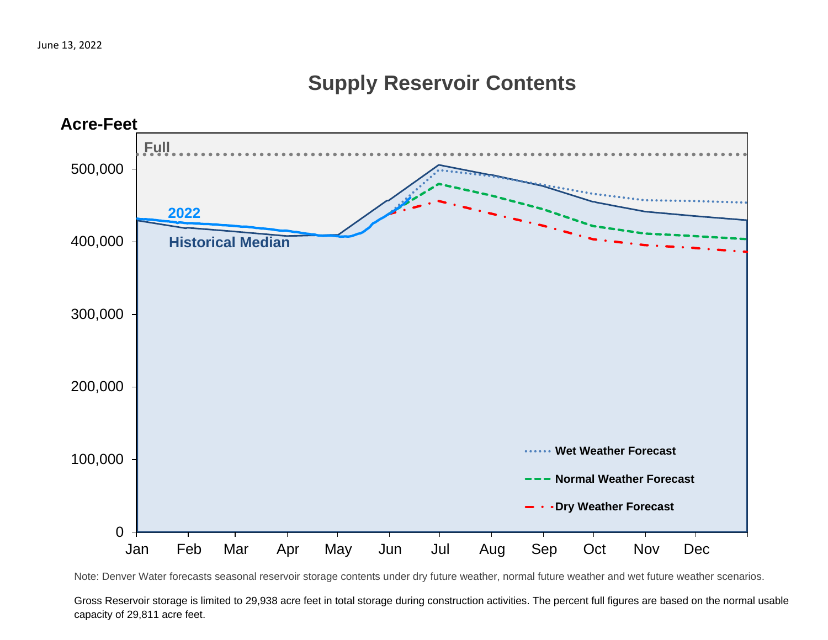# **Supply Reservoir Contents**



Note: Denver Water forecasts seasonal reservoir storage contents under dry future weather, normal future weather and wet future weather scenarios.

Gross Reservoir storage is limited to 29,938 acre feet in total storage during construction activities. The percent full figures are based on the normal usable capacity of 29,811 acre feet.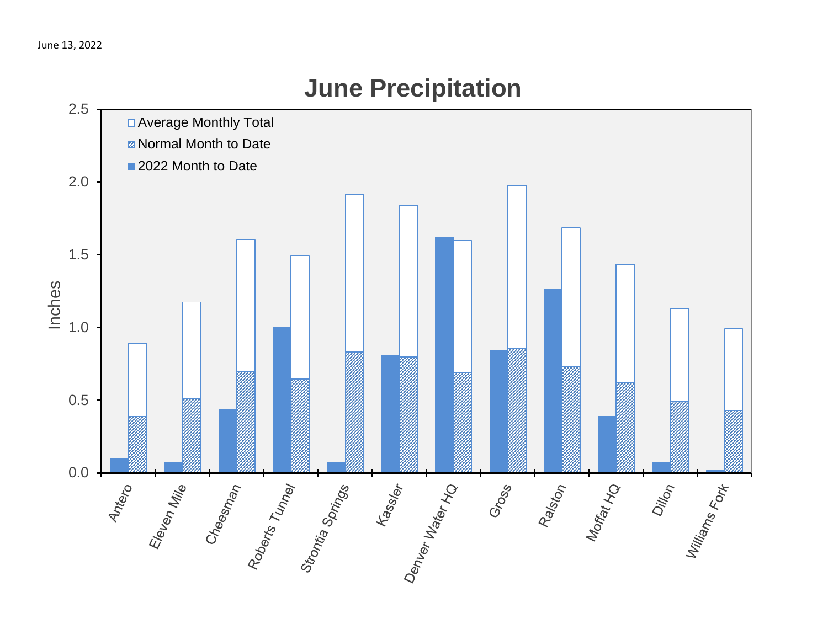

# **June Precipitation**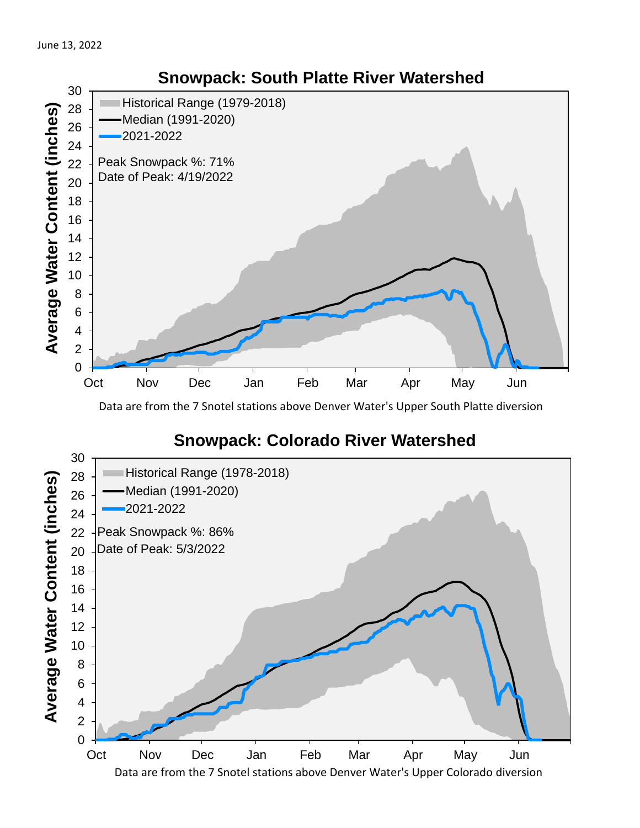

Data are from the 7 Snotel stations above Denver Water's Upper South Platte diversion

## **Snowpack: Colorado River Watershed**



## **Snowpack: South Platte River Watershed**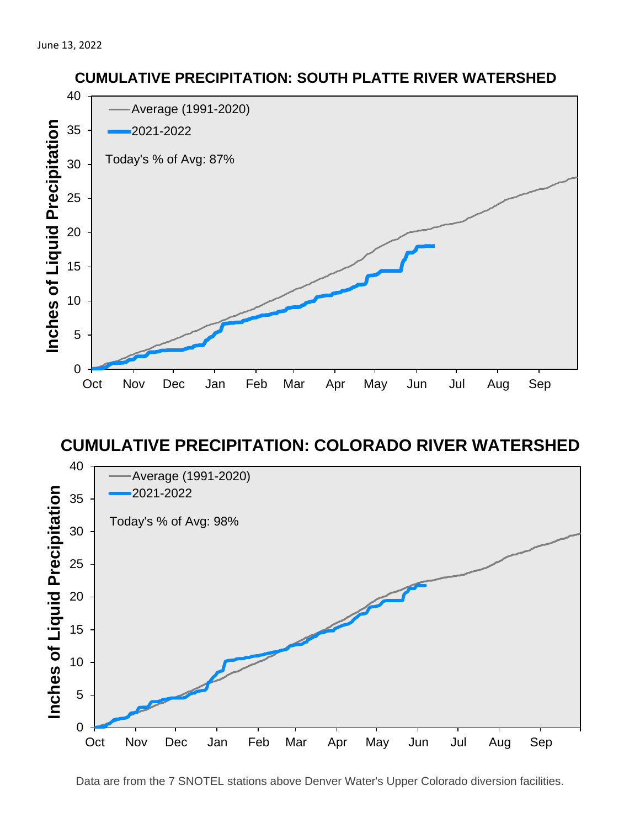

#### **CUMULATIVE PRECIPITATION: COLORADO RIVER WATERSHED**



**CUMULATIVE PRECIPITATION: SOUTH PLATTE RIVER WATERSHED**

Data are from the 7 SNOTEL stations above Denver Water's Upper Colorado diversion facilities.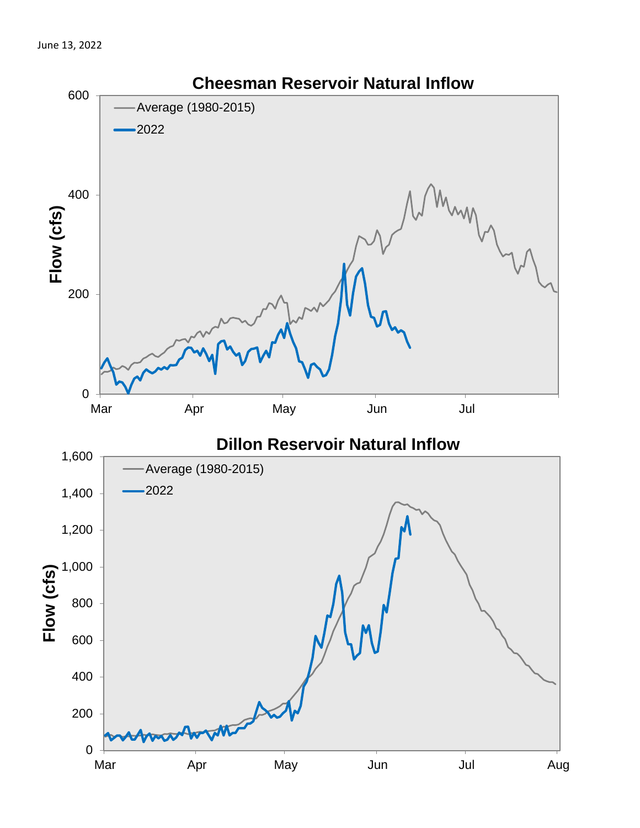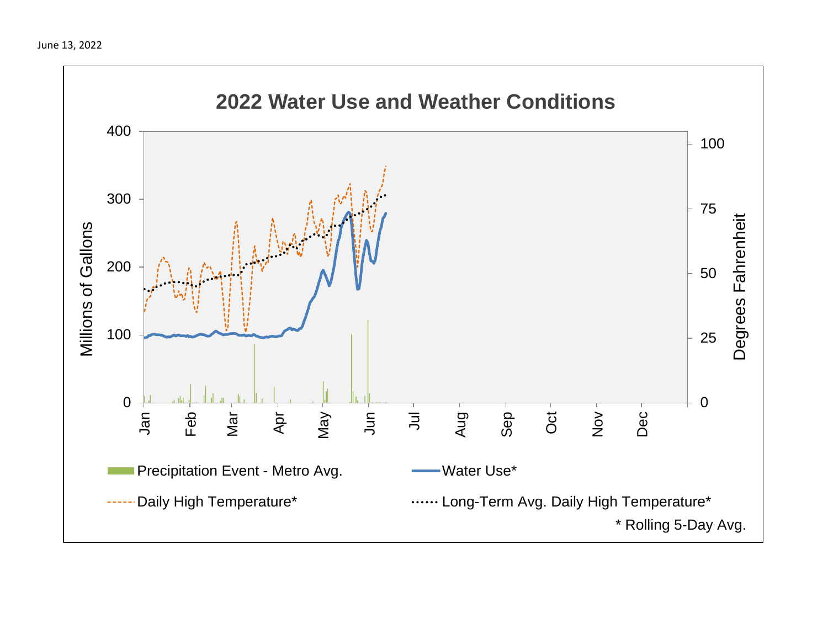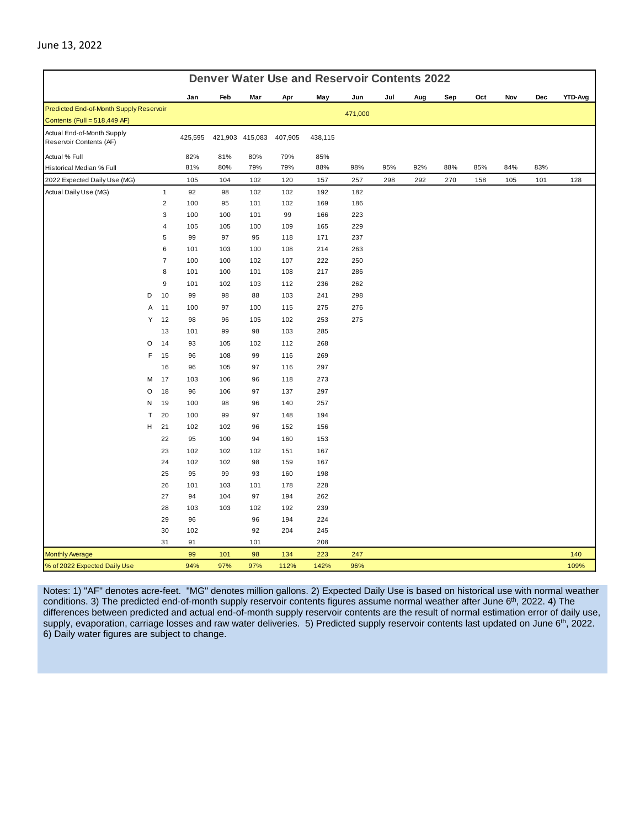| <b>Denver Water Use and Reservoir Contents 2022</b>   |   |                  |           |     |                 |            |            |         |     |     |     |     |     |     |         |
|-------------------------------------------------------|---|------------------|-----------|-----|-----------------|------------|------------|---------|-----|-----|-----|-----|-----|-----|---------|
|                                                       |   |                  | Jan       | Feb | Mar             | Apr        | May        | Jun     | Jul | Aug | Sep | Oct | Nov | Dec | YTD-Avg |
| Predicted End-of-Month Supply Reservoir               |   |                  |           |     |                 |            |            | 471,000 |     |     |     |     |     |     |         |
| Contents (Full = $518,449$ AF)                        |   |                  |           |     |                 |            |            |         |     |     |     |     |     |     |         |
| Actual End-of-Month Supply<br>Reservoir Contents (AF) |   |                  | 425,595   |     | 421,903 415,083 | 407,905    | 438,115    |         |     |     |     |     |     |     |         |
| Actual % Full                                         |   |                  | 82%       | 81% | 80%             | 79%        | 85%        |         |     |     |     |     |     |     |         |
| Historical Median % Full                              |   |                  | 81%       | 80% | 79%             | 79%        | 88%        | 98%     | 95% | 92% | 88% | 85% | 84% | 83% |         |
| 2022 Expected Daily Use (MG)                          |   |                  | 105       | 104 | 102             | 120        | 157        | 257     | 298 | 292 | 270 | 158 | 105 | 101 | 128     |
| Actual Daily Use (MG)                                 |   | $\mathbf{1}$     | 92        | 98  | 102             | 102        | 192        | 182     |     |     |     |     |     |     |         |
|                                                       |   | $\overline{2}$   | 100       | 95  | 101             | 102        | 169        | 186     |     |     |     |     |     |     |         |
|                                                       |   | 3                | 100       | 100 | 101             | 99         | 166        | 223     |     |     |     |     |     |     |         |
|                                                       |   | $\overline{4}$   | 105       | 105 | 100             | 109        | 165        | 229     |     |     |     |     |     |     |         |
|                                                       |   | 5                | 99        | 97  | 95              | 118        | 171        | 237     |     |     |     |     |     |     |         |
|                                                       |   | 6                | 101       | 103 | 100             | 108        | 214        | 263     |     |     |     |     |     |     |         |
|                                                       |   | $\overline{7}$   | 100       | 100 | 102             | 107        | 222        | 250     |     |     |     |     |     |     |         |
|                                                       |   | 8                | 101       | 100 | 101             | 108        | 217        | 286     |     |     |     |     |     |     |         |
|                                                       |   | $\boldsymbol{9}$ | 101       | 102 | 103             | 112        | 236        | 262     |     |     |     |     |     |     |         |
|                                                       | D | 10               | 99        | 98  | 88              | 103        | 241        | 298     |     |     |     |     |     |     |         |
|                                                       | Α | 11               | 100       | 97  | 100             | 115        | 275        | 276     |     |     |     |     |     |     |         |
|                                                       | Υ | 12               | 98        | 96  | 105             | 102        | 253        | 275     |     |     |     |     |     |     |         |
|                                                       |   | 13               | 101       | 99  | 98              | 103        | 285        |         |     |     |     |     |     |     |         |
|                                                       | O | 14               | 93        | 105 | 102             | 112        | 268        |         |     |     |     |     |     |     |         |
|                                                       | F | 15               | 96        | 108 | 99              | 116        | 269        |         |     |     |     |     |     |     |         |
|                                                       |   | 16               | 96        | 105 | 97              | 116        | 297        |         |     |     |     |     |     |     |         |
|                                                       | M | 17               | 103       | 106 | 96              | 118        | 273        |         |     |     |     |     |     |     |         |
|                                                       | O | 18               | 96        | 106 | 97              | 137        | 297        |         |     |     |     |     |     |     |         |
|                                                       | N | 19               | 100       | 98  | 96              | 140        | 257        |         |     |     |     |     |     |     |         |
|                                                       | T | 20               | 100       | 99  | 97              | 148        | 194        |         |     |     |     |     |     |     |         |
|                                                       | н | 21               | 102       | 102 | 96              | 152        | 156        |         |     |     |     |     |     |     |         |
|                                                       |   | 22               | 95        | 100 | 94              | 160        | 153        |         |     |     |     |     |     |     |         |
|                                                       |   | 23               | 102       | 102 | 102             | 151        | 167        |         |     |     |     |     |     |     |         |
|                                                       |   | 24               | 102       | 102 | 98              | 159        | 167        |         |     |     |     |     |     |     |         |
|                                                       |   | 25               | 95        | 99  | 93              | 160        | 198        |         |     |     |     |     |     |     |         |
|                                                       |   | 26               | 101       | 103 | 101             | 178        | 228        |         |     |     |     |     |     |     |         |
|                                                       |   | 27               | 94        | 104 | 97              | 194        | 262        |         |     |     |     |     |     |     |         |
|                                                       |   | 28<br>29         | 103<br>96 | 103 | 102             | 192        | 239<br>224 |         |     |     |     |     |     |     |         |
|                                                       |   | 30               | 102       |     | 96<br>92        | 194<br>204 | 245        |         |     |     |     |     |     |     |         |
|                                                       |   | 31               | 91        |     | 101             |            | 208        |         |     |     |     |     |     |     |         |
| <b>Monthly Average</b>                                |   |                  | 99        | 101 | 98              | 134        | 223        | 247     |     |     |     |     |     |     | 140     |
| % of 2022 Expected Daily Use                          |   |                  | 94%       | 97% | 97%             | 112%       | 142%       | 96%     |     |     |     |     |     |     | 109%    |

Notes: 1) "AF" denotes acre-feet. "MG" denotes million gallons. 2) Expected Daily Use is based on historical use with normal weather conditions. 3) The predicted end-of-month supply reservoir contents figures assume normal weather after June 6<sup>th</sup>, 2022. 4) The differences between predicted and actual end-of-month supply reservoir contents are the result of normal estimation error of daily use, supply, evaporation, carriage losses and raw water deliveries. 5) Predicted supply reservoir contents last updated on June 6<sup>th</sup>, 2022. 6) Daily water figures are subject to change.